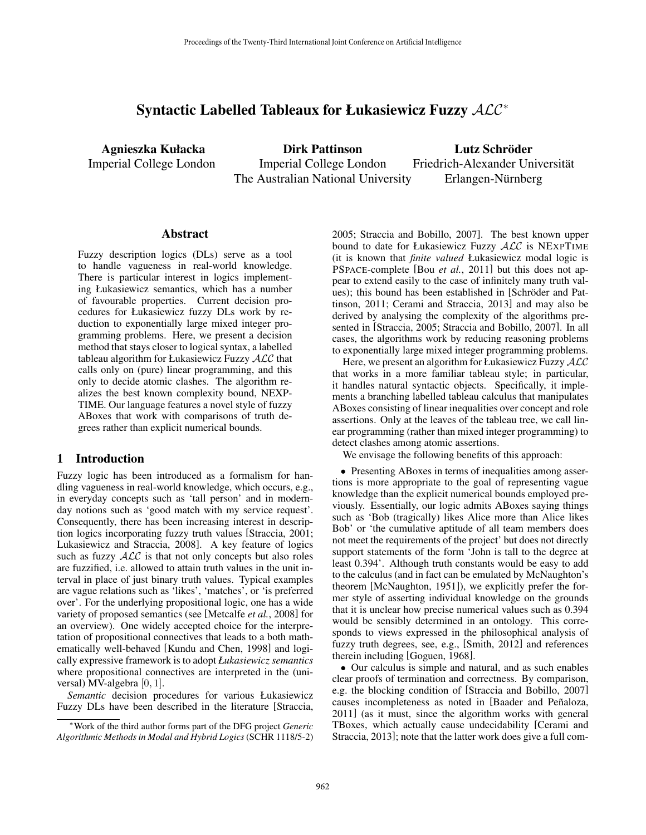# Syntactic Labelled Tableaux for Łukasiewicz Fuzzy ALC<sup>∗</sup>

Agnieszka Kułacka Imperial College London

Dirk Pattinson Imperial College London The Australian National University

Lutz Schröder Friedrich-Alexander Universitat¨ Erlangen-Nürnberg

#### Abstract

Fuzzy description logics (DLs) serve as a tool to handle vagueness in real-world knowledge. There is particular interest in logics implementing Łukasiewicz semantics, which has a number of favourable properties. Current decision procedures for Łukasiewicz fuzzy DLs work by reduction to exponentially large mixed integer programming problems. Here, we present a decision method that stays closer to logical syntax, a labelled tableau algorithm for Łukasiewicz Fuzzy ALC that calls only on (pure) linear programming, and this only to decide atomic clashes. The algorithm realizes the best known complexity bound, NEXP-TIME. Our language features a novel style of fuzzy ABoxes that work with comparisons of truth degrees rather than explicit numerical bounds.

#### 1 Introduction

Fuzzy logic has been introduced as a formalism for handling vagueness in real-world knowledge, which occurs, e.g., in everyday concepts such as 'tall person' and in modernday notions such as 'good match with my service request'. Consequently, there has been increasing interest in description logics incorporating fuzzy truth values [Straccia, 2001; Lukasiewicz and Straccia, 2008]. A key feature of logics such as fuzzy  $\text{ALC}$  is that not only concepts but also roles are fuzzified, i.e. allowed to attain truth values in the unit interval in place of just binary truth values. Typical examples are vague relations such as 'likes', 'matches', or 'is preferred over'. For the underlying propositional logic, one has a wide variety of proposed semantics (see [Metcalfe *et al.*, 2008] for an overview). One widely accepted choice for the interpretation of propositional connectives that leads to a both mathematically well-behaved [Kundu and Chen, 1998] and logically expressive framework is to adopt *Łukasiewicz semantics* where propositional connectives are interpreted in the (universal) MV-algebra [0, 1].

*Semantic* decision procedures for various Łukasiewicz Fuzzy DLs have been described in the literature [Straccia, 2005; Straccia and Bobillo, 2007]. The best known upper bound to date for Łukasiewicz Fuzzy ALC is NEXPTIME (it is known that *finite valued* Łukasiewicz modal logic is PSPACE-complete [Bou *et al.*, 2011] but this does not appear to extend easily to the case of infinitely many truth values); this bound has been established in [Schröder and Pattinson, 2011; Cerami and Straccia, 2013] and may also be derived by analysing the complexity of the algorithms presented in [Straccia, 2005; Straccia and Bobillo, 2007]. In all cases, the algorithms work by reducing reasoning problems to exponentially large mixed integer programming problems.

Here, we present an algorithm for Łukasiewicz Fuzzy ALC that works in a more familiar tableau style; in particular, it handles natural syntactic objects. Specifically, it implements a branching labelled tableau calculus that manipulates ABoxes consisting of linear inequalities over concept and role assertions. Only at the leaves of the tableau tree, we call linear programming (rather than mixed integer programming) to detect clashes among atomic assertions.

We envisage the following benefits of this approach:

• Presenting ABoxes in terms of inequalities among assertions is more appropriate to the goal of representing vague knowledge than the explicit numerical bounds employed previously. Essentially, our logic admits ABoxes saying things such as 'Bob (tragically) likes Alice more than Alice likes Bob' or 'the cumulative aptitude of all team members does not meet the requirements of the project' but does not directly support statements of the form 'John is tall to the degree at least 0.394'. Although truth constants would be easy to add to the calculus (and in fact can be emulated by McNaughton's theorem [McNaughton, 1951]), we explicitly prefer the former style of asserting individual knowledge on the grounds that it is unclear how precise numerical values such as 0.394 would be sensibly determined in an ontology. This corresponds to views expressed in the philosophical analysis of fuzzy truth degrees, see, e.g., [Smith, 2012] and references therein including [Goguen, 1968].

• Our calculus is simple and natural, and as such enables clear proofs of termination and correctness. By comparison, e.g. the blocking condition of [Straccia and Bobillo, 2007] causes incompleteness as noted in [Baader and Peñaloza, 2011] (as it must, since the algorithm works with general TBoxes, which actually cause undecidability [Cerami and Straccia, 2013]; note that the latter work does give a full com-

<sup>∗</sup>Work of the third author forms part of the DFG project *Generic Algorithmic Methods in Modal and Hybrid Logics* (SCHR 1118/5-2)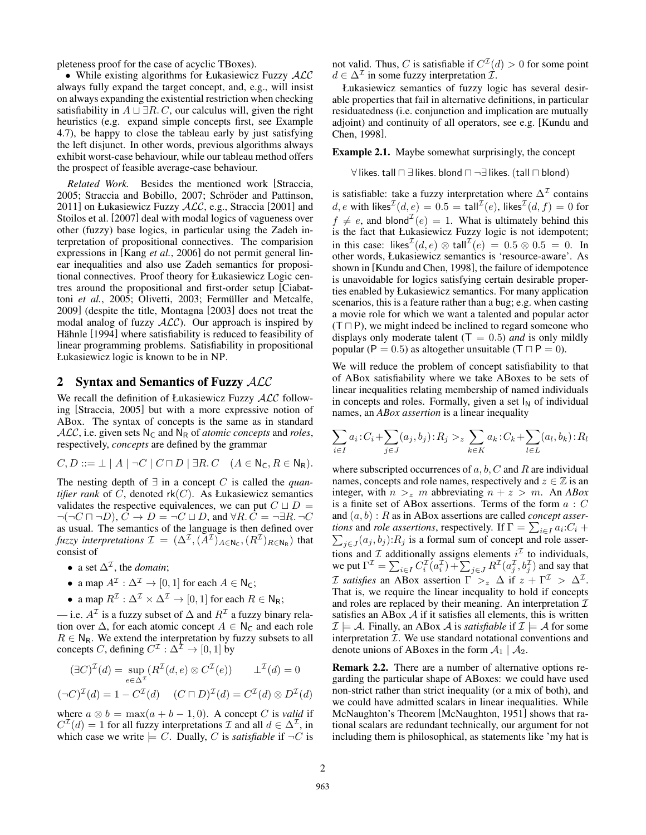pleteness proof for the case of acyclic TBoxes).

• While existing algorithms for Łukasiewicz Fuzzy ALC always fully expand the target concept, and, e.g., will insist on always expanding the existential restriction when checking satisfiability in  $A \sqcup \exists R.C$ , our calculus will, given the right heuristics (e.g. expand simple concepts first, see Example 4.7), be happy to close the tableau early by just satisfying the left disjunct. In other words, previous algorithms always exhibit worst-case behaviour, while our tableau method offers the prospect of feasible average-case behaviour.

*Related Work.* Besides the mentioned work [Straccia, 2005; Straccia and Bobillo, 2007; Schröder and Pattinson, 2011] on Łukasiewicz Fuzzy  $ALC$ , e.g., Straccia [2001] and Stoilos et al. [2007] deal with modal logics of vagueness over other (fuzzy) base logics, in particular using the Zadeh interpretation of propositional connectives. The comparision expressions in [Kang *et al.*, 2006] do not permit general linear inequalities and also use Zadeh semantics for propositional connectives. Proof theory for Łukasiewicz Logic centres around the propositional and first-order setup [Ciabattoni *et al.*, 2005; Olivetti, 2003; Fermüller and Metcalfe, 2009] (despite the title, Montagna [2003] does not treat the modal analog of fuzzy  $ALC$ ). Our approach is inspired by Hähnle [1994] where satisfiability is reduced to feasibility of linear programming problems. Satisfiability in propositional Łukasiewicz logic is known to be in NP.

## 2 Syntax and Semantics of Fuzzy ALC

We recall the definition of Łukasiewicz Fuzzy ALC following [Straccia, 2005] but with a more expressive notion of ABox. The syntax of concepts is the same as in standard  $ALC$ , i.e. given sets  $N_c$  and  $N_R$  of *atomic concepts* and *roles*, respectively, *concepts* are defined by the grammar

$$
C, D ::= \bot \mid A \mid \neg C \mid C \sqcap D \mid \exists R. C \quad (A \in \mathsf{N}_\mathsf{C}, R \in \mathsf{N}_\mathsf{R}).
$$

The nesting depth of ∃ in a concept C is called the *quantifier rank* of  $C$ , denoted  $rk(C)$ . As Łukasiewicz semantics validates the respective equivalences, we can put  $C \sqcup D =$  $\neg(\neg C \sqcap \neg D)$ ,  $C \rightarrow D = \neg C \sqcup D$ , and  $\forall R$ .  $C = \neg \exists R$ .  $\neg C$ as usual. The semantics of the language is then defined over *fuzzy interpretations*  $\mathcal{I} = (\Delta^{\mathcal{I}}, (\tilde{A}^{\mathcal{I}})_{A \in N_C}, (R^{\mathcal{I}})_{R \in N_R})$  that consist of

- a set  $\Delta^{\mathcal{I}}$ , the *domain*;
- a map  $A^{\mathcal{I}} : \Delta^{\mathcal{I}} \to [0,1]$  for each  $A \in \mathsf{N}_\mathsf{C}$ ;
- a map  $R^{\mathcal{I}}: \Delta^{\mathcal{I}} \times \Delta^{\mathcal{I}} \to [0, 1]$  for each  $R \in \mathsf{N}_{\mathsf{R}};$

— i.e.  $A^{\mathcal{I}}$  is a fuzzy subset of  $\Delta$  and  $R^{\mathcal{I}}$  a fuzzy binary relation over  $\Delta$ , for each atomic concept  $A \in \mathbb{N}_{\mathsf{C}}$  and each role  $R \in N_R$ . We extend the interpretation by fuzzy subsets to all concepts C, defining  $C^{\mathcal{I}} : \Delta^{\bar{\mathcal{I}}} \to [0,1]$  by

$$
(\exists C)^{\mathcal{I}}(d) = \sup_{e \in \Delta^{\mathcal{I}}} (R^{\mathcal{I}}(d, e) \otimes C^{\mathcal{I}}(e)) \qquad \perp^{\mathcal{I}}(d) = 0
$$

$$
(\neg C)^{\mathcal{I}}(d) = 1 - C^{\mathcal{I}}(d) \quad (C \sqcap D)^{\mathcal{I}}(d) = C^{\mathcal{I}}(d) \otimes D^{\mathcal{I}}(d)
$$

where  $a \otimes b = \max(a + b - 1, 0)$ . A concept C is *valid* if  $C^{\mathcal{I}}(d) = 1$  for all fuzzy interpretations  $\mathcal{I}$  and all  $d \in \Delta^{\mathcal{I}}$ , in which case we write  $\models C$ . Dually, C is *satisfiable* if  $\neg C$  is not valid. Thus, C is satisfiable if  $C^{I}(d) > 0$  for some point  $d \in \Delta^{\mathcal{I}}$  in some fuzzy interpretation  $\hat{\mathcal{I}}$ .

Łukasiewicz semantics of fuzzy logic has several desirable properties that fail in alternative definitions, in particular residuatedness (i.e. conjunction and implication are mutually adjoint) and continuity of all operators, see e.g. [Kundu and Chen, 1998].

Example 2.1. Maybe somewhat surprisingly, the concept

 $\forall$  likes. tall  $\Box \exists$  likes. blond  $\Box \neg \exists$  likes. (tall  $\Box$  blond)

is satisfiable: take a fuzzy interpretation where  $\Delta^{\mathcal{I}}$  contains  $d,e$  with likes $\mathcal{I}(d,e)=0.5=\mathsf{t}$ all $\mathcal{I}(e)$ , likes $\mathcal{I}(d,f)=0$  for  $f \neq e$ , and blond<sup> $\mathcal{I}(e) = 1$ . What is ultimately behind this</sup> is the fact that Łukasiewicz Fuzzy logic is not idempotent; in this case: likes $^{\mathcal{I}}(d,e) \otimes \textsf{tall}^{\mathcal{I}}(e) = 0.5 \otimes 0.5 = 0$ . In other words, Łukasiewicz semantics is 'resource-aware'. As shown in [Kundu and Chen, 1998], the failure of idempotence is unavoidable for logics satisfying certain desirable properties enabled by Łukasiewicz semantics. For many application scenarios, this is a feature rather than a bug; e.g. when casting a movie role for which we want a talented and popular actor  $(T \cap P)$ , we might indeed be inclined to regard someone who displays only moderate talent  $(T = 0.5)$  *and* is only mildly popular (P = 0.5) as altogether unsuitable ( $T \sqcap P = 0$ ).

We will reduce the problem of concept satisfiability to that of ABox satisfiability where we take ABoxes to be sets of linear inequalities relating membership of named individuals in concepts and roles. Formally, given a set  $I_N$  of individual names, an *ABox assertion* is a linear inequality

$$
\sum_{i \in I} a_i : C_i + \sum_{j \in J} (a_j, b_j) : R_j >_{z} \sum_{k \in K} a_k : C_k + \sum_{l \in L} (a_l, b_k) : R_l
$$

where subscripted occurrences of  $a, b, C$  and  $R$  are individual names, concepts and role names, respectively and  $z \in \mathbb{Z}$  is an integer, with  $n >_z m$  abbreviating  $n + z > m$ . An *ABox* is a finite set of ABox assertions. Terms of the form  $a\,:\,C$ and (a, b) : R as in ABox assertions are called *concept assertions* and *role assertions*, respectively. If  $\Gamma = \sum_{i \in I} a_i : C_i + \sum_{j \in J} (a_j, b_j) : R_j$  is a formal sum of concept and role assertions and  $\mathcal I$  additionally assigns elements  $i^{\mathcal I}$  to individuals, we put  $\Gamma^{\mathcal{I}} = \sum_{i \in I} C_i^{\mathcal{I}}(a_i^{\mathcal{I}}) + \sum_{j \in J} R^{\mathcal{I}}(a_j^{\mathcal{I}}, b_j^{\mathcal{I}})$  and say that *I* satisfies an ABox assertion  $\Gamma >_z \Delta$  if  $z + \Gamma^{\mathcal{I}} > \Delta^{\mathcal{I}}$ . That is, we require the linear inequality to hold if concepts and roles are replaced by their meaning. An interpretation  $\mathcal I$ satisfies an ABox  $A$  if it satisfies all elements, this is written  $\mathcal{I} \models \mathcal{A}$ . Finally, an ABox  $\mathcal{A}$  is *satisfiable* if  $\mathcal{I} \models \mathcal{A}$  for some interpretation  $I$ . We use standard notational conventions and denote unions of ABoxes in the form  $A_1 \mid A_2$ .

Remark 2.2. There are a number of alternative options regarding the particular shape of ABoxes: we could have used non-strict rather than strict inequality (or a mix of both), and we could have admitted scalars in linear inequalities. While McNaughton's Theorem [McNaughton, 1951] shows that rational scalars are redundant technically, our argument for not including them is philosophical, as statements like 'my hat is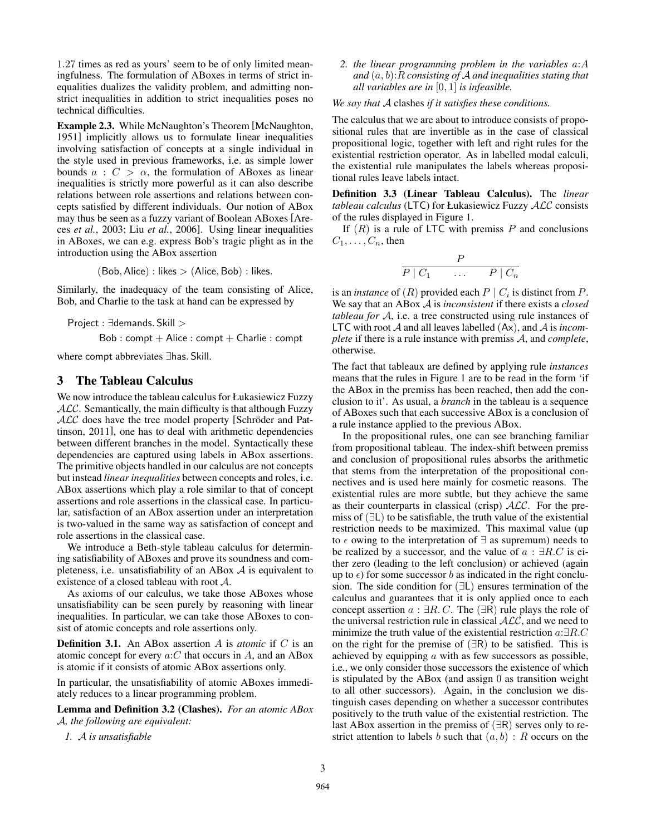1.27 times as red as yours' seem to be of only limited meaningfulness. The formulation of ABoxes in terms of strict inequalities dualizes the validity problem, and admitting nonstrict inequalities in addition to strict inequalities poses no technical difficulties.

Example 2.3. While McNaughton's Theorem [McNaughton, 1951] implicitly allows us to formulate linear inequalities involving satisfaction of concepts at a single individual in the style used in previous frameworks, i.e. as simple lower bounds  $a : C > \alpha$ , the formulation of ABoxes as linear inequalities is strictly more powerful as it can also describe relations between role assertions and relations between concepts satisfied by different individuals. Our notion of ABox may thus be seen as a fuzzy variant of Boolean ABoxes [Areces *et al.*, 2003; Liu *et al.*, 2006]. Using linear inequalities in ABoxes, we can e.g. express Bob's tragic plight as in the introduction using the ABox assertion

 $(Bob, Alice)$ : likes  $> (Alice, Bob)$ : likes.

Similarly, the inadequacy of the team consisting of Alice, Bob, and Charlie to the task at hand can be expressed by

Project : ∃demands. Skill >

 $Bob: compt + Alice: compt + Charlie: compt$ 

where compt abbreviates ∃has. Skill.

## 3 The Tableau Calculus

We now introduce the tableau calculus for Łukasiewicz Fuzzy  $ALC$ . Semantically, the main difficulty is that although Fuzzy  $ALC$  does have the tree model property [Schröder and Pattinson, 2011], one has to deal with arithmetic dependencies between different branches in the model. Syntactically these dependencies are captured using labels in ABox assertions. The primitive objects handled in our calculus are not concepts but instead *linear inequalities* between concepts and roles, i.e. ABox assertions which play a role similar to that of concept assertions and role assertions in the classical case. In particular, satisfaction of an ABox assertion under an interpretation is two-valued in the same way as satisfaction of concept and role assertions in the classical case.

We introduce a Beth-style tableau calculus for determining satisfiability of ABoxes and prove its soundness and completeness, i.e. unsatisfiability of an ABox  $A$  is equivalent to existence of a closed tableau with root A.

As axioms of our calculus, we take those ABoxes whose unsatisfiability can be seen purely by reasoning with linear inequalities. In particular, we can take those ABoxes to consist of atomic concepts and role assertions only.

Definition 3.1. An ABox assertion A is *atomic* if C is an atomic concept for every  $a:C$  that occurs in  $A$ , and an ABox is atomic if it consists of atomic ABox assertions only.

In particular, the unsatisfiability of atomic ABoxes immediately reduces to a linear programming problem.

Lemma and Definition 3.2 (Clashes). *For an atomic ABox* A*, the following are equivalent:*

*1.* A *is unsatisfiable*

*2. the linear programming problem in the variables* a:A *and* (a, b):R *consisting of* A *and inequalities stating that all variables are in* [0, 1] *is infeasible.*

*We say that* A clashes *if it satisfies these conditions.*

The calculus that we are about to introduce consists of propositional rules that are invertible as in the case of classical propositional logic, together with left and right rules for the existential restriction operator. As in labelled modal calculi, the existential rule manipulates the labels whereas propositional rules leave labels intact.

Definition 3.3 (Linear Tableau Calculus). The *linear tableau calculus* (LTC) for Łukasiewicz Fuzzy ALC consists of the rules displayed in Figure 1.

If  $(R)$  is a rule of LTC with premiss P and conclusions  $C_1, \ldots, C_n$ , then

$$
\begin{array}{ccc}\n & P \\
\hline\nP & C_1 & \dots & P & C_n\n\end{array}
$$

is an *instance* of  $(R)$  provided each  $P \mid C_i$  is distinct from  $P$ . We say that an ABox A is *inconsistent* if there exists a *closed tableau for* A, i.e. a tree constructed using rule instances of LTC with root A and all leaves labelled (Ax), and A is *incomplete* if there is a rule instance with premiss A, and *complete*, otherwise.

The fact that tableaux are defined by applying rule *instances* means that the rules in Figure 1 are to be read in the form 'if the ABox in the premiss has been reached, then add the conclusion to it'. As usual, a *branch* in the tableau is a sequence of ABoxes such that each successive ABox is a conclusion of a rule instance applied to the previous ABox.

In the propositional rules, one can see branching familiar from propositional tableau. The index-shift between premiss and conclusion of propositional rules absorbs the arithmetic that stems from the interpretation of the propositional connectives and is used here mainly for cosmetic reasons. The existential rules are more subtle, but they achieve the same as their counterparts in classical (crisp)  $ALC$ . For the premiss of (∃L) to be satisfiable, the truth value of the existential restriction needs to be maximized. This maximal value (up to  $\epsilon$  owing to the interpretation of  $\exists$  as supremum) needs to be realized by a successor, and the value of  $a : \exists R.C$  is either zero (leading to the left conclusion) or achieved (again up to  $\epsilon$ ) for some successor b as indicated in the right conclusion. The side condition for (∃L) ensures termination of the calculus and guarantees that it is only applied once to each concept assertion  $a : \exists R.C.$  The  $(\exists R)$  rule plays the role of the universal restriction rule in classical  $ALC$ , and we need to minimize the truth value of the existential restriction  $a:\exists R.C$ on the right for the premise of (∃R) to be satisfied. This is achieved by equipping  $a$  with as few successors as possible, i.e., we only consider those successors the existence of which is stipulated by the ABox (and assign 0 as transition weight to all other successors). Again, in the conclusion we distinguish cases depending on whether a successor contributes positively to the truth value of the existential restriction. The last ABox assertion in the premiss of (∃R) serves only to restrict attention to labels b such that  $(a, b)$ : R occurs on the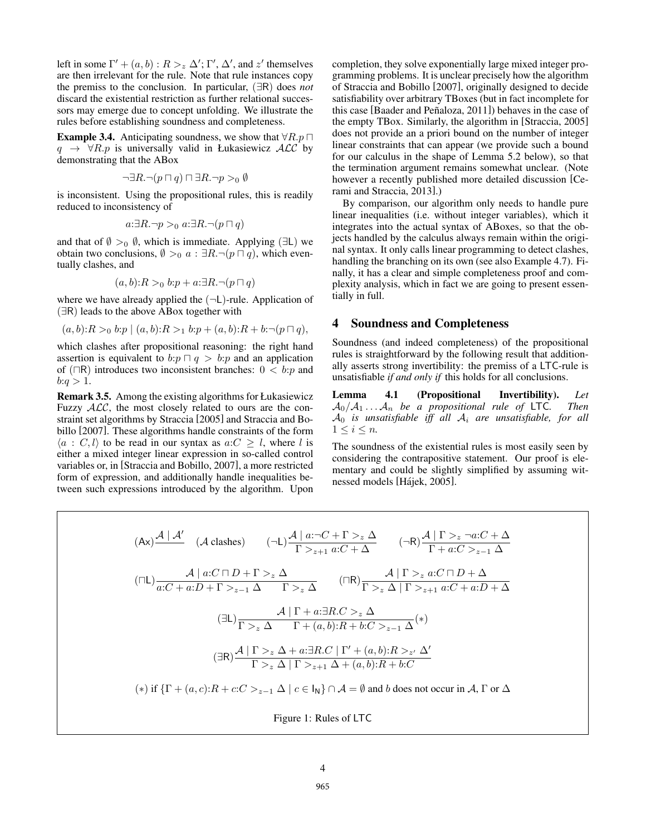left in some  $\Gamma' + (a, b) : R >_z \Delta'; \Gamma', \Delta',$  and  $z'$  themselves are then irrelevant for the rule. Note that rule instances copy the premiss to the conclusion. In particular, (∃R) does *not* discard the existential restriction as further relational successors may emerge due to concept unfolding. We illustrate the rules before establishing soundness and completeness.

**Example 3.4.** Anticipating soundness, we show that  $\forall R.p \sqcap$  $q \rightarrow \forall R.p$  is universally valid in Łukasiewicz  $\mathcal{ALC}$  by demonstrating that the ABox

$$
\neg \exists R. \neg (p \sqcap q) \sqcap \exists R. \neg p >_0 \emptyset
$$

is inconsistent. Using the propositional rules, this is readily reduced to inconsistency of

$$
a:\exists R.\neg p >_0 a:\exists R.\neg(p \sqcap q)
$$

and that of  $\emptyset >_0 \emptyset$ , which is immediate. Applying ( $\exists L$ ) we obtain two conclusions,  $\emptyset >_0 a : \exists R. \neg (p \sqcap q)$ , which eventually clashes, and

$$
(a,b):R>_0 b: p+a: \exists R. \neg (p \sqcap q)
$$

where we have already applied the  $(\neg L)$ -rule. Application of (∃R) leads to the above ABox together with

$$
(a, b): R >_0 b: p \mid (a, b): R >_1 b: p + (a, b): R + b: \neg(p \sqcap q),
$$

which clashes after propositional reasoning: the right hand assertion is equivalent to  $b:p \sqcap q > b:p$  and an application of ( $\Box$ R) introduces two inconsistent branches:  $0 < b$ : p and  $b:q>1$ .

Remark 3.5. Among the existing algorithms for Łukasiewicz Fuzzy  $ALC$ , the most closely related to ours are the constraint set algorithms by Straccia [2005] and Straccia and Bobillo [2007]. These algorithms handle constraints of the form  $\langle a : C, l \rangle$  to be read in our syntax as  $a:C > l$ , where l is either a mixed integer linear expression in so-called control variables or, in [Straccia and Bobillo, 2007], a more restricted form of expression, and additionally handle inequalities between such expressions introduced by the algorithm. Upon completion, they solve exponentially large mixed integer programming problems. It is unclear precisely how the algorithm of Straccia and Bobillo [2007], originally designed to decide satisfiability over arbitrary TBoxes (but in fact incomplete for this case [Baader and Peñaloza, 2011]) behaves in the case of the empty TBox. Similarly, the algorithm in [Straccia, 2005] does not provide an a priori bound on the number of integer linear constraints that can appear (we provide such a bound for our calculus in the shape of Lemma 5.2 below), so that the termination argument remains somewhat unclear. (Note however a recently published more detailed discussion [Cerami and Straccia, 2013].)

By comparison, our algorithm only needs to handle pure linear inequalities (i.e. without integer variables), which it integrates into the actual syntax of ABoxes, so that the objects handled by the calculus always remain within the original syntax. It only calls linear programming to detect clashes, handling the branching on its own (see also Example 4.7). Finally, it has a clear and simple completeness proof and complexity analysis, which in fact we are going to present essentially in full.

## 4 Soundness and Completeness

Soundness (and indeed completeness) of the propositional rules is straightforward by the following result that additionally asserts strong invertibility: the premiss of a LTC-rule is unsatisfiable *if and only if* this holds for all conclusions.

Lemma 4.1 (Propositional Invertibility). *Let*  $A_0/A_1 \ldots A_n$  *be a propositional rule of* LTC. Then A<sup>0</sup> *is unsatisfiable iff all* A<sup>i</sup> *are unsatisfiable, for all*  $1 \leq i \leq n$ .

The soundness of the existential rules is most easily seen by considering the contrapositive statement. Our proof is elementary and could be slightly simplified by assuming witnessed models [Hájek, 2005].

$$
(Ax) \frac{\mathcal{A} | \mathcal{A}'}{\mathcal{A}} \quad (A \text{ clashes}) \qquad (-L) \frac{\mathcal{A} | a:\neg C + \Gamma >_{z} \Delta}{\Gamma >_{z+1} a:C + \Delta} \qquad (-R) \frac{\mathcal{A} | \Gamma >_{z} \neg a:C + \Delta}{\Gamma + a:C >_{z-1} \Delta}
$$
\n
$$
(\Box L) \frac{\mathcal{A} | a:C \sqcap D + \Gamma >_{z} \Delta}{a:C + a:D + \Gamma >_{z-1} \Delta} \qquad (\Box R) \frac{\mathcal{A} | \Gamma >_{z} a:C \sqcap D + \Delta}{\Gamma >_{z} \Delta | \Gamma >_{z+1} a:C + a:D + \Delta}
$$
\n
$$
(\exists L) \frac{\mathcal{A} | \Gamma + a:\exists R.C >_{z} \Delta}{\Gamma >_{z} \Delta \Gamma + (a,b):R + b:C >_{z-1} \Delta}(*)
$$
\n
$$
(\exists R) \frac{\mathcal{A} | \Gamma >_{z} \Delta + a:\exists R.C | \Gamma' + (a,b):R >_{z'} \Delta'}{\Gamma >_{z} \Delta | \Gamma >_{z+1} \Delta + (a,b):R + b:C}
$$
\n
$$
(*) \text{ if } \{\Gamma + (a,c):R + c:C >_{z-1} \Delta \mid c \in I_N\} \cap \mathcal{A} = \emptyset \text{ and } b \text{ does not occur in } \mathcal{A}, \Gamma \text{ or } \Delta \text{ and } \Gamma \text{ does not occur in } \mathcal{A} \text{ and } \Gamma \text{ does not occur in } \mathcal{A} \text{ and } \Gamma \text{ does not occur in } \mathcal{A} \text{ and } \Gamma \text{ does not occur in } \mathcal{A} \text{ and } \Gamma \text{ does not occur in } \mathcal{A} \text{ and } \Gamma \text{ does not occur in } \mathcal{A} \text{ and } \Gamma \text{ does not occur in } \mathcal{A} \text{ and } \Gamma \text{ does not occur in } \mathcal{A} \text{ and } \Gamma \text{ does not occur in } \mathcal{A} \text{ and } \Gamma \text{ does not occur in } \mathcal{A} \text{ and } \Gamma \text{ does not occur in } \mathcal{A} \text{ and } \Gamma \text{ does not occur in } \mathcal{A} \text{ and } \
$$

Figure 1: Rules of LTC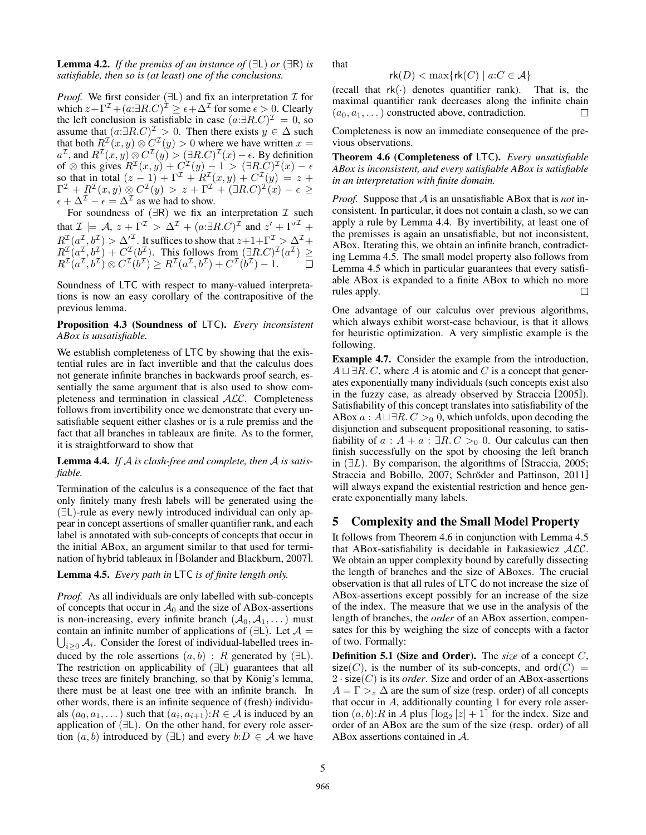**Lemma 4.2.** *If the premiss of an instance of*  $(\exists L)$  *or*  $(\exists R)$  *is satisfiable, then so is (at least) one of the conclusions.*

*Proof.* We first consider ( $\exists L$ ) and fix an interpretation  $\mathcal I$  for which  $z + \Gamma^{\mathcal{I}} + (a : \exists R.C)^{\mathcal{I}} \ge \epsilon + \Delta^{\mathcal{I}}$  for some  $\epsilon > 0$ . Clearly the left conclusion is satisfiable in case  $(a:\exists R.C)^{\mathcal{I}}=0$ , so assume that  $(a:\exists R.C)^{\mathcal{I}} > 0$ . Then there exists  $y \in \Delta$  such that both  $R^{\mathcal{I}}(x, y) \otimes C^{\mathcal{I}}(y) > 0$  where we have written  $x =$  $a^{\mathcal{I}}$ , and  $R^{\mathcal{I}}(x,y) \otimes C^{\mathcal{I}}(y) > (\exists R.C)^{\mathcal{I}}(x) - \epsilon$ . By definition of  $\otimes$  this gives  $R^{\mathcal{I}}(x,y) + C^{\mathcal{I}}(y) - 1 > (\exists R.C)^{\mathcal{I}}(x) - \epsilon$ so that in total  $(z-1) + \Gamma^{\mathcal{I}} + R^{\mathcal{I}}(x, y) + C^{\mathcal{I}}(y) = z +$  $\Gamma^{\mathcal{I}}\,+\,R^{\mathcal{I}}(x,y)\,\otimes\, C^{\mathcal{I}}(y) \,>\, z\,+\,\Gamma^{\mathcal{I}}\,+\,(\exists R.C)^{\mathcal{I}}(x)\,-\,\epsilon\,\geq\, 0$  $\epsilon + \Delta^{\mathcal{I}} - \epsilon = \Delta^{\mathcal{I}}$  as we had to show.

For soundness of  $(∃R)$  we fix an interpretation  $I$  such that  $\mathcal{I} \models A$ ,  $z + \Gamma^{\mathcal{I}} > \Delta^{\mathcal{I}} + (a \cdot \exists R.C)^{\mathcal{I}}$  and  $z' + {\Gamma'}^{\mathcal{I}}$  +  $R^{\mathcal{I}}(a^{\mathcal{I}},b^{\mathcal{I}}) > {\Delta'}^{\mathcal{I}}$ . It suffices to show that  $z+1+\Gamma^{\mathcal{I}} > {\Delta'}^{\mathcal{I}}+$  $R^{\mathcal{I}}(a^{\mathcal{I}},b^{\mathcal{I}})+C^{\mathcal{I}}(b^{\mathcal{I}})$ . This follows from  $(\exists R.C)^{\mathcal{I}}(a^{\mathcal{I}}) \geq$  $R^{\mathcal{I}}(a^{\mathcal{I}},b^{\mathcal{I}}) \otimes C^{\mathcal{I}}(b^{\mathcal{I}}) \geq R^{\mathcal{I}}(a^{\mathcal{I}},b^{\mathcal{I}}) + C^{\mathcal{I}}(b^{\mathcal{I}}) - 1.$ 

Soundness of LTC with respect to many-valued interpretations is now an easy corollary of the contrapositive of the previous lemma.

Proposition 4.3 (Soundness of LTC). *Every inconsistent ABox is unsatisfiable.*

We establish completeness of LTC by showing that the existential rules are in fact invertible and that the calculus does not generate infinite branches in backwards proof search, essentially the same argument that is also used to show completeness and termination in classical ALC. Completeness follows from invertibility once we demonstrate that every unsatisfiable sequent either clashes or is a rule premiss and the fact that all branches in tableaux are finite. As to the former, it is straightforward to show that

Lemma 4.4. *If* A *is clash-free and complete, then* A *is satisfiable.*

Termination of the calculus is a consequence of the fact that only finitely many fresh labels will be generated using the (∃L)-rule as every newly introduced individual can only appear in concept assertions of smaller quantifier rank, and each label is annotated with sub-concepts of concepts that occur in the initial ABox, an argument similar to that used for termination of hybrid tableaux in [Bolander and Blackburn, 2007].

Lemma 4.5. *Every path in* LTC *is of finite length only.*

*Proof.* As all individuals are only labelled with sub-concepts of concepts that occur in  $A_0$  and the size of ABox-assertions is non-increasing, every infinite branch  $(A_0, A_1, \dots)$  must  $\bigcup_{i\geq 0} A_i$ . Consider the forest of individual-labelled trees incontain an infinite number of applications of  $(\exists L)$ . Let  $\mathcal{A} =$ duced by the role assertions  $(a, b)$ : R generated by  $(\exists L)$ . The restriction on applicability of (∃L) guarantees that all these trees are finitely branching, so that by König's lemma, there must be at least one tree with an infinite branch. In other words, there is an infinite sequence of (fresh) individuals  $(a_0, a_1, \dots)$  such that  $(a_i, a_{i+1}): R \in \mathcal{A}$  is induced by an application of (∃L). On the other hand, for every role assertion  $(a, b)$  introduced by  $(\exists L)$  and every  $b: D \in \mathcal{A}$  we have that

$$
\mathsf{rk}(D) < \max\{\mathsf{rk}(C) \mid a:C \in \mathcal{A}\}
$$

(recall that  $rk(\cdot)$  denotes quantifier rank). That is, the maximal quantifier rank decreases along the infinite chain  $(a_0, a_1, \dots)$  constructed above, contradiction.  $\Box$ 

Completeness is now an immediate consequence of the previous observations.

Theorem 4.6 (Completeness of LTC). *Every unsatisfiable ABox is inconsistent, and every satisfiable ABox is satisfiable in an interpretation with finite domain.*

*Proof.* Suppose that A is an unsatisfiable ABox that is *not* inconsistent. In particular, it does not contain a clash, so we can apply a rule by Lemma 4.4. By invertibility, at least one of the premisses is again an unsatisfiable, but not inconsistent, ABox. Iterating this, we obtain an infinite branch, contradicting Lemma 4.5. The small model property also follows from Lemma 4.5 which in particular guarantees that every satisfiable ABox is expanded to a finite ABox to which no more rules apply.  $\Box$ 

One advantage of our calculus over previous algorithms, which always exhibit worst-case behaviour, is that it allows for heuristic optimization. A very simplistic example is the following.

Example 4.7. Consider the example from the introduction,  $A \sqcup \exists R$ . C, where A is atomic and C is a concept that generates exponentially many individuals (such concepts exist also in the fuzzy case, as already observed by Straccia [2005]). Satisfiability of this concept translates into satisfiability of the ABox  $a : A \sqcup \exists R.C >_0 0$ , which unfolds, upon decoding the disjunction and subsequent propositional reasoning, to satisfiability of  $a : A + a : \exists R.C >_0 0$ . Our calculus can then finish successfully on the spot by choosing the left branch in  $(\exists L)$ . By comparison, the algorithms of [Straccia, 2005; Straccia and Bobillo, 2007; Schröder and Pattinson, 2011] will always expand the existential restriction and hence generate exponentially many labels.

## 5 Complexity and the Small Model Property

It follows from Theorem 4.6 in conjunction with Lemma 4.5 that ABox-satisfiability is decidable in Łukasiewicz  $ALC$ . We obtain an upper complexity bound by carefully dissecting the length of branches and the size of ABoxes. The crucial observation is that all rules of LTC do not increase the size of ABox-assertions except possibly for an increase of the size of the index. The measure that we use in the analysis of the length of branches, the *order* of an ABox assertion, compensates for this by weighing the size of concepts with a factor of two. Formally:

Definition 5.1 (Size and Order). The *size* of a concept C, size(C), is the number of its sub-concepts, and ord(C) =  $2 \cdot \text{size}(C)$  is its *order*. Size and order of an ABox-assertions  $A = \Gamma >_{z} \Delta$  are the sum of size (resp. order) of all concepts that occur in A, additionally counting 1 for every role assertion  $(a, b)$ : R in A plus  $\lceil \log_2 |z| + 1 \rceil$  for the index. Size and order of an ABox are the sum of the size (resp. order) of all ABox assertions contained in A.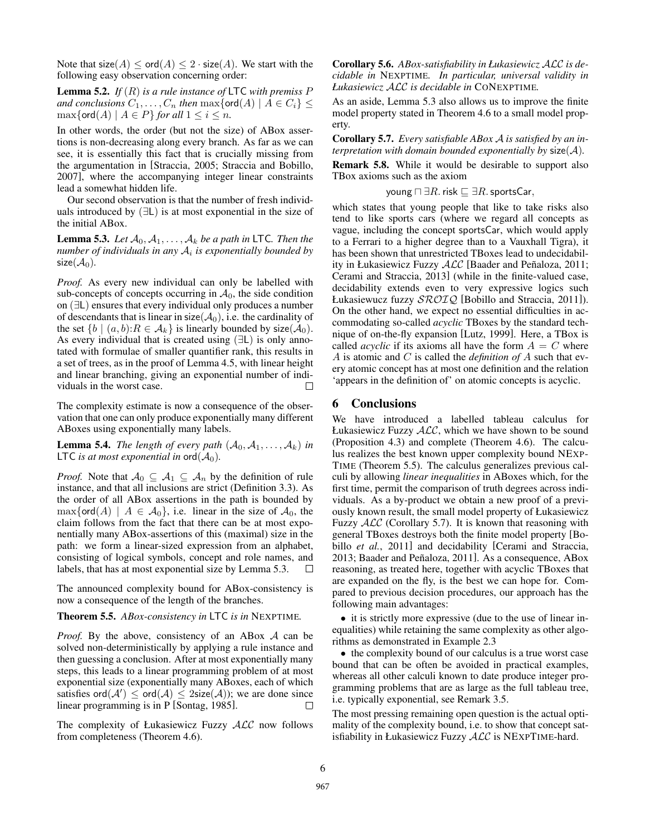Note that  $size(A) \leq ord(A) \leq 2 \cdot size(A)$ . We start with the following easy observation concerning order:

Lemma 5.2. *If* (R) *is a rule instance of* LTC *with premiss* P *and conclusions*  $C_1, \ldots, C_n$  *then*  $\max\{\text{ord}(A) \mid A \in C_i\} \leq$  $\max\{\text{ord}(A) \mid A \in P\}$  *for all*  $1 \leq i \leq n$ .

In other words, the order (but not the size) of ABox assertions is non-decreasing along every branch. As far as we can see, it is essentially this fact that is crucially missing from the argumentation in [Straccia, 2005; Straccia and Bobillo, 2007], where the accompanying integer linear constraints lead a somewhat hidden life.

Our second observation is that the number of fresh individuals introduced by  $(\exists L)$  is at most exponential in the size of the initial ABox.

**Lemma 5.3.** Let  $A_0, A_1, \ldots, A_k$  be a path in LTC. Then the *number of individuals in any* A<sup>i</sup> *is exponentially bounded by*  $size(\mathcal{A}_0)$ .

*Proof.* As every new individual can only be labelled with sub-concepts of concepts occurring in  $A_0$ , the side condition on (∃L) ensures that every individual only produces a number of descendants that is linear in size( $\mathcal{A}_0$ ), i.e. the cardinality of the set  $\{b \mid (a, b): R \in \mathcal{A}_k\}$  is linearly bounded by size( $\mathcal{A}_0$ ). As every individual that is created using (∃L) is only annotated with formulae of smaller quantifier rank, this results in a set of trees, as in the proof of Lemma 4.5, with linear height and linear branching, giving an exponential number of individuals in the worst case. П

The complexity estimate is now a consequence of the observation that one can only produce exponentially many different ABoxes using exponentially many labels.

**Lemma 5.4.** *The length of every path*  $(A_0, A_1, \ldots, A_k)$  *in* LTC *is at most exponential in* ord $(\mathcal{A}_0)$ .

*Proof.* Note that  $A_0 \subseteq A_1 \subseteq A_n$  by the definition of rule instance, and that all inclusions are strict (Definition 3.3). As the order of all ABox assertions in the path is bounded by  $\max\{\text{ord}(A) \mid A \in \mathcal{A}_0\}$ , i.e. linear in the size of  $\mathcal{A}_0$ , the claim follows from the fact that there can be at most exponentially many ABox-assertions of this (maximal) size in the path: we form a linear-sized expression from an alphabet, consisting of logical symbols, concept and role names, and labels, that has at most exponential size by Lemma 5.3.  $\Box$ 

The announced complexity bound for ABox-consistency is now a consequence of the length of the branches.

Theorem 5.5. *ABox-consistency in* LTC *is in* NEXPTIME*.*

*Proof.* By the above, consistency of an ABox A can be solved non-deterministically by applying a rule instance and then guessing a conclusion. After at most exponentially many steps, this leads to a linear programming problem of at most exponential size (exponentially many ABoxes, each of which satisfies  $\text{ord}(\mathcal{A}') \leq \text{ord}(\mathcal{A}) \leq 2\text{size}(\mathcal{A})$ ; we are done since linear programming is in P [Sontag, 1985].  $\Box$ 

The complexity of Łukasiewicz Fuzzy ALC now follows from completeness (Theorem 4.6).

Corollary 5.6. *ABox-satisfiability in Łukasiewicz* ALC *is decidable in* NEXPTIME*. In particular, universal validity in Łukasiewicz* ALC *is decidable in* CONEXPTIME*.*

As an aside, Lemma 5.3 also allows us to improve the finite model property stated in Theorem 4.6 to a small model property.

Corollary 5.7. *Every satisfiable ABox* A *is satisfied by an interpretation with domain bounded exponentially by* size(A)*.*

Remark 5.8. While it would be desirable to support also TBox axioms such as the axiom

$$
young \sqcap \exists R. \; \mathsf{risk} \sqsubseteq \exists R. \; \mathsf{sportsCar},
$$

which states that young people that like to take risks also tend to like sports cars (where we regard all concepts as vague, including the concept sportsCar, which would apply to a Ferrari to a higher degree than to a Vauxhall Tigra), it has been shown that unrestricted TBoxes lead to undecidability in Łukasiewicz Fuzzy  $ALC$  [Baader and Peñaloza, 2011; Cerami and Straccia, 2013] (while in the finite-valued case, decidability extends even to very expressive logics such Łukasiewucz fuzzy SROIQ [Bobillo and Straccia, 2011]). On the other hand, we expect no essential difficulties in accommodating so-called *acyclic* TBoxes by the standard technique of on-the-fly expansion [Lutz, 1999]. Here, a TBox is called *acyclic* if its axioms all have the form  $A = C$  where A is atomic and C is called the *definition of* A such that every atomic concept has at most one definition and the relation 'appears in the definition of' on atomic concepts is acyclic.

#### 6 Conclusions

We have introduced a labelled tableau calculus for Łukasiewicz Fuzzy  $ALC$ , which we have shown to be sound (Proposition 4.3) and complete (Theorem 4.6). The calculus realizes the best known upper complexity bound NEXP-TIME (Theorem 5.5). The calculus generalizes previous calculi by allowing *linear inequalities* in ABoxes which, for the first time, permit the comparison of truth degrees across individuals. As a by-product we obtain a new proof of a previously known result, the small model property of Łukasiewicz Fuzzy  $ALC$  (Corollary 5.7). It is known that reasoning with general TBoxes destroys both the finite model property [Bobillo *et al.*, 2011] and decidability [Cerami and Straccia, 2013; Baader and Peñaloza, 2011]. As a consequence,  $ABox$ reasoning, as treated here, together with acyclic TBoxes that are expanded on the fly, is the best we can hope for. Compared to previous decision procedures, our approach has the following main advantages:

• it is strictly more expressive (due to the use of linear inequalities) while retaining the same complexity as other algorithms as demonstrated in Example 2.3

• the complexity bound of our calculus is a true worst case bound that can be often be avoided in practical examples, whereas all other calculi known to date produce integer programming problems that are as large as the full tableau tree, i.e. typically exponential, see Remark 3.5.

The most pressing remaining open question is the actual optimality of the complexity bound, i.e. to show that concept satisfiability in Łukasiewicz Fuzzy ALC is NEXPTIME-hard.